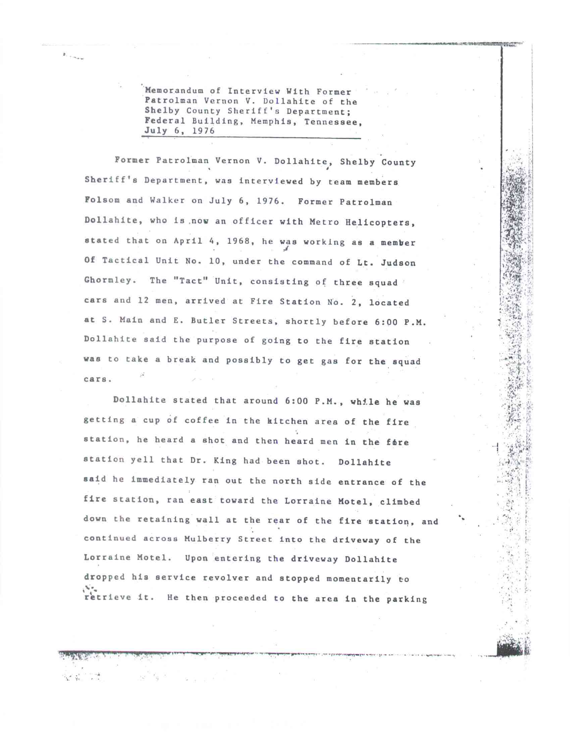Memorandum of Interview With Former Patrolman Vernon V. Dollahite of the Shelby County Sheriff's Department; Federal Building, Memphis, Tennessee, July 6, 1976

Former Patrolman Vernon V. Dollahite, Shelby County Sheriff's Department, was interviewed by team members Folsom and Walker on July 6, 1976. Former Patrolman Dollahite, who is .now an officer with Metro Helicopters, stated that on April 4, 1968, he was working as a member A Of Tactical Unit No. 10, under the command of Lt. Judson Ghormley. The "Tact" Unit, consisting of three squad cars and 12 men, arrived at Fire Station No. 2, located at S. Main and E. Butler Streets, shortly before 6:00 P.M. Dollahite said the purpose of going to the fire station was to take a break and possibly to get gas for the squad cars.

Dollahite stated that around 6:00 P.M., whl.le he was getting a cup of coffee in the kitchen area of the fire station, he heard a shot and then heard men in the fore station yell that Dr. King had been shot. Dollahite said he immediately ran out the north side entrance of the fire station, ran east toward the Lorraine Motel, climbed down the retaining wall at the rear of the fire station, and continued across Mulberry Street into the driveway of the Lorraine Motel. Upon entering the driveway Dollahite dropped his service revolver and stopped momentarily to retrieve it. He then proceeded to the area in the parking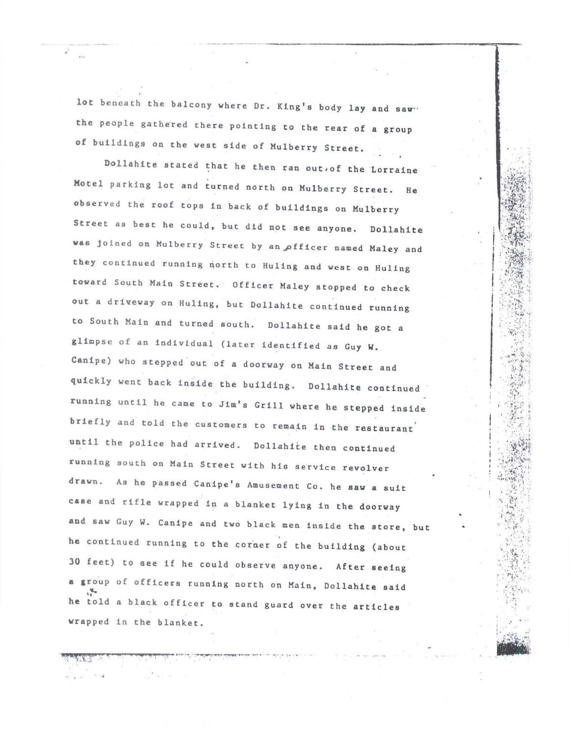lot beneath the balcony where Dr. King's body lay and saw. the people gathered there pointing to the rear of a group **of** buildings on the west side of Mulberry Street.

Dollahite stated that he then ran out.of the Lorraine Motel parking lot and turned north on Mulberry Street. He observed the roof tops in back of buildings on Mulberry Street as best he **could, but** did not see anyone. Dollahite was joined on Mulberry Street by an officer named Maley and **they** continued running north to Huling and west on Huling **toward** South Main Street. Officer Maley stopped to check out a driveway on Huling, but Dollahite continued running to South Main and turned south. Dollahite said he got a glimpse of an individual (later identified as Guy **W.**  Canipe) who stepped **out** of a doorway on Main Street and **quickly went back inside the building.** Dollahite continued running until he came to Jim's Grill where he stepped inside briefly and told the customers to remain in the **restaurant until the police had arrived. Dollahite then continued**  running south on Main Street with his service revolver **drawn. As he passed** Canipe's Amusement Co. **he saw a suit case and rifle wrapped in a blanket lying in the doorway and saw Guy W. Canipe and** two black men inside the store, **but he continued running to the corner of the building (about 30 feet) to see if he could observe** anyone. After seeing **<sup>a</sup>group of officers running** north on Main, Dollahite said **he told** a black officer to stand guard over the articles wrapped in the blanket.

•